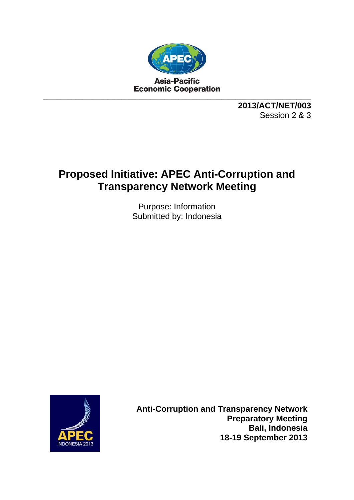

**2013/ACT/NET/003**  Session 2 & 3

# **Proposed Initiative: APEC Anti-Corruption and Transparency Network Meeting**

Purpose: Information Submitted by: Indonesia



**Anti-Corruption and Transparency Network Preparatory Meeting Bali, Indonesia 18-19 September 2013**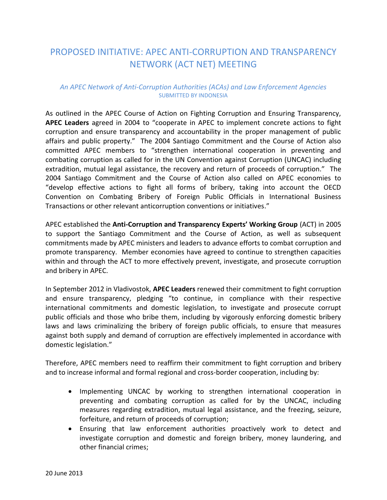## PROPOSED INITIATIVE: APEC ANTI-CORRUPTION AND TRANSPARENCY NETWORK (ACT NET) MEETING

### *An APEC Network of Anti-Corruption Authorities (ACAs) and Law Enforcement Agencies*  SUBMITTED BY INDONESIA

As outlined in the APEC Course of Action on Fighting Corruption and Ensuring Transparency, **APEC Leaders** agreed in 2004 to "cooperate in APEC to implement concrete actions to fight corruption and ensure transparency and accountability in the proper management of public affairs and public property." The 2004 Santiago Commitment and the Course of Action also committed APEC members to "strengthen international cooperation in preventing and combating corruption as called for in the UN Convention against Corruption (UNCAC) including extradition, mutual legal assistance, the recovery and return of proceeds of corruption." The 2004 Santiago Commitment and the Course of Action also called on APEC economies to "develop effective actions to fight all forms of bribery, taking into account the OECD Convention on Combating Bribery of Foreign Public Officials in International Business Transactions or other relevant anticorruption conventions or initiatives."

APEC established the **Anti-Corruption and Transparency Experts' Working Group** (ACT) in 2005 to support the Santiago Commitment and the Course of Action, as well as subsequent commitments made by APEC ministers and leaders to advance efforts to combat corruption and promote transparency. Member economies have agreed to continue to strengthen capacities within and through the ACT to more effectively prevent, investigate, and prosecute corruption and bribery in APEC.

In September 2012 in Vladivostok, **APEC Leaders** renewed their commitment to fight corruption and ensure transparency, pledging "to continue, in compliance with their respective international commitments and domestic legislation, to investigate and prosecute corrupt public officials and those who bribe them, including by vigorously enforcing domestic bribery laws and laws criminalizing the bribery of foreign public officials, to ensure that measures against both supply and demand of corruption are effectively implemented in accordance with domestic legislation."

Therefore, APEC members need to reaffirm their commitment to fight corruption and bribery and to increase informal and formal regional and cross-border cooperation, including by:

- Implementing UNCAC by working to strengthen international cooperation in preventing and combating corruption as called for by the UNCAC, including measures regarding extradition, mutual legal assistance, and the freezing, seizure, forfeiture, and return of proceeds of corruption;
- Ensuring that law enforcement authorities proactively work to detect and investigate corruption and domestic and foreign bribery, money laundering, and other financial crimes;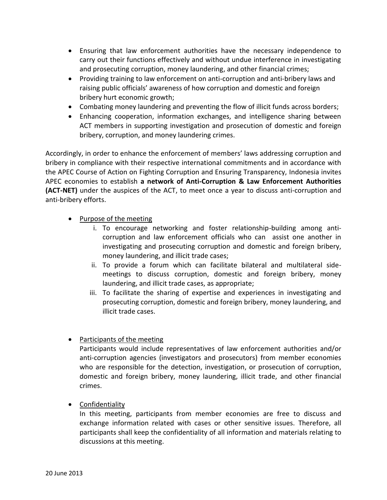- Ensuring that law enforcement authorities have the necessary independence to carry out their functions effectively and without undue interference in investigating and prosecuting corruption, money laundering, and other financial crimes;
- Providing training to law enforcement on anti-corruption and anti-bribery laws and raising public officials' awareness of how corruption and domestic and foreign bribery hurt economic growth;
- Combating money laundering and preventing the flow of illicit funds across borders;
- Enhancing cooperation, information exchanges, and intelligence sharing between ACT members in supporting investigation and prosecution of domestic and foreign bribery, corruption, and money laundering crimes.

Accordingly, in order to enhance the enforcement of members' laws addressing corruption and bribery in compliance with their respective international commitments and in accordance with the APEC Course of Action on Fighting Corruption and Ensuring Transparency, Indonesia invites APEC economies to establish **a network of Anti-Corruption & Law Enforcement Authorities (ACT-NET)** under the auspices of the ACT, to meet once a year to discuss anti-corruption and anti-bribery efforts.

- Purpose of the meeting
	- i. To encourage networking and foster relationship-building among anticorruption and law enforcement officials who can assist one another in investigating and prosecuting corruption and domestic and foreign bribery, money laundering, and illicit trade cases;
	- ii. To provide a forum which can facilitate bilateral and multilateral sidemeetings to discuss corruption, domestic and foreign bribery, money laundering, and illicit trade cases, as appropriate;
	- iii. To facilitate the sharing of expertise and experiences in investigating and prosecuting corruption, domestic and foreign bribery, money laundering, and illicit trade cases.
- Participants of the meeting

Participants would include representatives of law enforcement authorities and/or anti-corruption agencies (investigators and prosecutors) from member economies who are responsible for the detection, investigation, or prosecution of corruption, domestic and foreign bribery, money laundering, illicit trade, and other financial crimes.

Confidentiality

In this meeting, participants from member economies are free to discuss and exchange information related with cases or other sensitive issues. Therefore, all participants shall keep the confidentiality of all information and materials relating to discussions at this meeting.